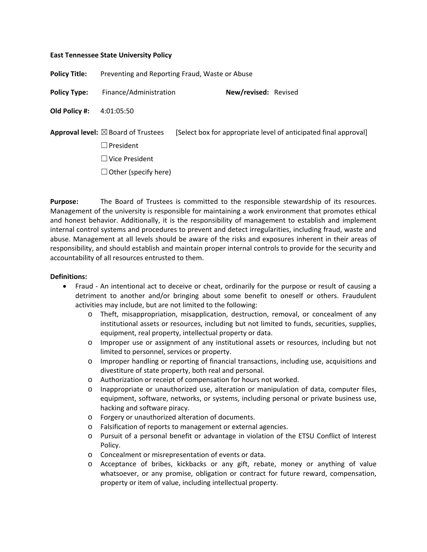## **East Tennessee State University Policy**

**Policy Title:** Preventing and Reporting Fraud, Waste or Abuse

**Policy Type:** Finance/Administration **New/revised:** Revised

**Old Policy #:** 4:01:05:50

**Approval level:**  $\boxtimes$  Board of Trustees [Select box for appropriate level of anticipated final approval] ☐ President ☐ Vice President  $\Box$  Other (specify here)

**Purpose:** The Board of Trustees is committed to the responsible stewardship of its resources. Management of the university is responsible for maintaining a work environment that promotes ethical and honest behavior. Additionally, it is the responsibility of management to establish and implement internal control systems and procedures to prevent and detect irregularities, including fraud, waste and abuse. Management at all levels should be aware of the risks and exposures inherent in their areas of responsibility, and should establish and maintain proper internal controls to provide for the security and accountability of all resources entrusted to them.

## **Definitions:**

- Fraud An intentional act to deceive or cheat, ordinarily for the purpose or result of causing a detriment to another and/or bringing about some benefit to oneself or others. Fraudulent activities may include, but are not limited to the following:
	- o Theft, misappropriation, misapplication, destruction, removal, or concealment of any institutional assets or resources, including but not limited to funds, securities, supplies, equipment, real property, intellectual property or data.
	- o Improper use or assignment of any institutional assets or resources, including but not limited to personnel, services or property.
	- o Improper handling or reporting of financial transactions, including use, acquisitions and divestiture of state property, both real and personal.
	- o Authorization or receipt of compensation for hours not worked.
	- o Inappropriate or unauthorized use, alteration or manipulation of data, computer files, equipment, software, networks, or systems, including personal or private business use, hacking and software piracy.
	- o Forgery or unauthorized alteration of documents.
	- o Falsification of reports to management or external agencies.
	- o Pursuit of a personal benefit or advantage in violation of the ETSU Conflict of Interest Policy.
	- o Concealment or misrepresentation of events or data.
	- o Acceptance of bribes, kickbacks or any gift, rebate, money or anything of value whatsoever, or any promise, obligation or contract for future reward, compensation, property or item of value, including intellectual property.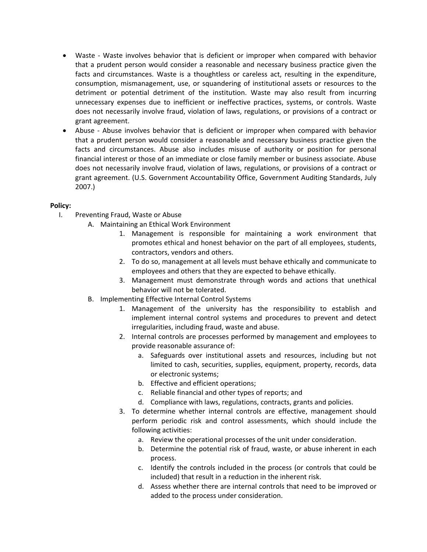- Waste Waste involves behavior that is deficient or improper when compared with behavior that a prudent person would consider a reasonable and necessary business practice given the facts and circumstances. Waste is a thoughtless or careless act, resulting in the expenditure, consumption, mismanagement, use, or squandering of institutional assets or resources to the detriment or potential detriment of the institution. Waste may also result from incurring unnecessary expenses due to inefficient or ineffective practices, systems, or controls. Waste does not necessarily involve fraud, violation of laws, regulations, or provisions of a contract or grant agreement.
- Abuse Abuse involves behavior that is deficient or improper when compared with behavior that a prudent person would consider a reasonable and necessary business practice given the facts and circumstances. Abuse also includes misuse of authority or position for personal financial interest or those of an immediate or close family member or business associate. Abuse does not necessarily involve fraud, violation of laws, regulations, or provisions of a contract or grant agreement. (U.S. Government Accountability Office, Government Auditing Standards, July 2007.)

## **Policy:**

- I. Preventing Fraud, Waste or Abuse
	- A. Maintaining an Ethical Work Environment
		- 1. Management is responsible for maintaining a work environment that promotes ethical and honest behavior on the part of all employees, students, contractors, vendors and others.
		- 2. To do so, management at all levels must behave ethically and communicate to employees and others that they are expected to behave ethically.
		- 3. Management must demonstrate through words and actions that unethical behavior will not be tolerated.
	- B. Implementing Effective Internal Control Systems
		- 1. Management of the university has the responsibility to establish and implement internal control systems and procedures to prevent and detect irregularities, including fraud, waste and abuse.
		- 2. Internal controls are processes performed by management and employees to provide reasonable assurance of:
			- a. Safeguards over institutional assets and resources, including but not limited to cash, securities, supplies, equipment, property, records, data or electronic systems;
			- b. Effective and efficient operations;
			- c. Reliable financial and other types of reports; and
			- d. Compliance with laws, regulations, contracts, grants and policies.
		- 3. To determine whether internal controls are effective, management should perform periodic risk and control assessments, which should include the following activities:
			- a. Review the operational processes of the unit under consideration.
			- b. Determine the potential risk of fraud, waste, or abuse inherent in each process.
			- c. Identify the controls included in the process (or controls that could be included) that result in a reduction in the inherent risk.
			- d. Assess whether there are internal controls that need to be improved or added to the process under consideration.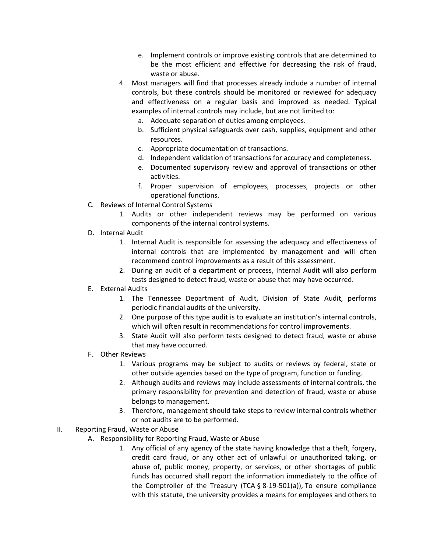- e. Implement controls or improve existing controls that are determined to be the most efficient and effective for decreasing the risk of fraud, waste or abuse.
- 4. Most managers will find that processes already include a number of internal controls, but these controls should be monitored or reviewed for adequacy and effectiveness on a regular basis and improved as needed. Typical examples of internal controls may include, but are not limited to:
	- a. Adequate separation of duties among employees.
	- b. Sufficient physical safeguards over cash, supplies, equipment and other resources.
	- c. Appropriate documentation of transactions.
	- d. Independent validation of transactions for accuracy and completeness.
	- e. Documented supervisory review and approval of transactions or other activities.
	- f. Proper supervision of employees, processes, projects or other operational functions.
- C. Reviews of Internal Control Systems
	- 1. Audits or other independent reviews may be performed on various components of the internal control systems.
- D. Internal Audit
	- 1. Internal Audit is responsible for assessing the adequacy and effectiveness of internal controls that are implemented by management and will often recommend control improvements as a result of this assessment.
	- 2. During an audit of a department or process, Internal Audit will also perform tests designed to detect fraud, waste or abuse that may have occurred.
- E. External Audits
	- 1. The Tennessee Department of Audit, Division of State Audit, performs periodic financial audits of the university.
	- 2. One purpose of this type audit is to evaluate an institution's internal controls, which will often result in recommendations for control improvements.
	- 3. State Audit will also perform tests designed to detect fraud, waste or abuse that may have occurred.
- F. Other Reviews
	- 1. Various programs may be subject to audits or reviews by federal, state or other outside agencies based on the type of program, function or funding.
	- 2. Although audits and reviews may include assessments of internal controls, the primary responsibility for prevention and detection of fraud, waste or abuse belongs to management.
	- 3. Therefore, management should take steps to review internal controls whether or not audits are to be performed.
- II. Reporting Fraud, Waste or Abuse
	- A. Responsibility for Reporting Fraud, Waste or Abuse
		- 1. Any official of any agency of the state having knowledge that a theft, forgery, credit card fraud, or any other act of unlawful or unauthorized taking, or abuse of, public money, property, or services, or other shortages of public funds has occurred shall report the information immediately to the office of the Comptroller of the Treasury (TCA  $\S$  8-19-501(a)), To ensure compliance with this statute, the university provides a means for employees and others to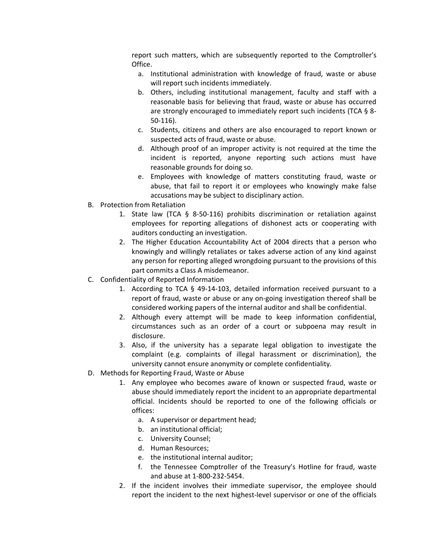report such matters, which are subsequently reported to the Comptroller's Office.

- a. Institutional administration with knowledge of fraud, waste or abuse will report such incidents immediately.
- b. Others, including institutional management, faculty and staff with a reasonable basis for believing that fraud, waste or abuse has occurred are strongly encouraged to immediately report such incidents (TCA § 8- 50-116).
- c. Students, citizens and others are also encouraged to report known or suspected acts of fraud, waste or abuse.
- d. Although proof of an improper activity is not required at the time the incident is reported, anyone reporting such actions must have reasonable grounds for doing so.
- e. Employees with knowledge of matters constituting fraud, waste or abuse, that fail to report it or employees who knowingly make false accusations may be subject to disciplinary action.
- B. Protection from Retaliation
	- 1. State law (TCA § 8-50-116) prohibits discrimination or retaliation against employees for reporting allegations of dishonest acts or cooperating with auditors conducting an investigation.
	- 2. The Higher Education Accountability Act of 2004 directs that a person who knowingly and willingly retaliates or takes adverse action of any kind against any person for reporting alleged wrongdoing pursuant to the provisions of this part commits a Class A misdemeanor.
- C. Confidentiality of Reported Information
	- 1. According to TCA  $\S$  49-14-103, detailed information received pursuant to a report of fraud, waste or abuse or any on-going investigation thereof shall be considered working papers of the internal auditor and shall be confidential.
	- 2. Although every attempt will be made to keep information confidential, circumstances such as an order of a court or subpoena may result in disclosure.
	- 3. Also, if the university has a separate legal obligation to investigate the complaint (e.g. complaints of illegal harassment or discrimination), the university cannot ensure anonymity or complete confidentiality.
- D. Methods for Reporting Fraud, Waste or Abuse
	- 1. Any employee who becomes aware of known or suspected fraud, waste or abuse should immediately report the incident to an appropriate departmental official. Incidents should be reported to one of the following officials or offices:
		- a. A supervisor or department head;
		- b. an institutional official;
		- c. University Counsel;
		- d. Human Resources;
		- e. the institutional internal auditor;
		- f. the Tennessee Comptroller of the Treasury's Hotline for fraud, waste and abuse at 1-800-232-5454.
	- 2. If the incident involves their immediate supervisor, the employee should report the incident to the next highest-level supervisor or one of the officials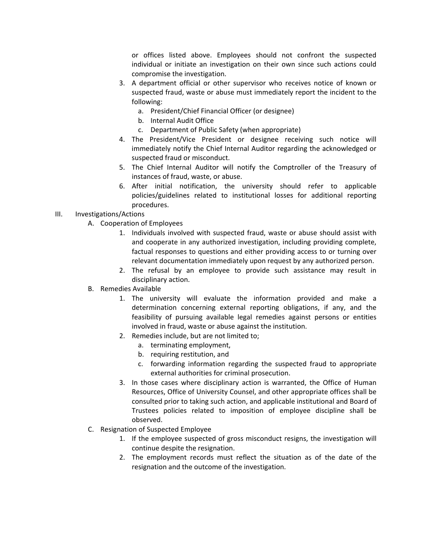or offices listed above. Employees should not confront the suspected individual or initiate an investigation on their own since such actions could compromise the investigation.

- 3. A department official or other supervisor who receives notice of known or suspected fraud, waste or abuse must immediately report the incident to the following:
	- a. President/Chief Financial Officer (or designee)
	- b. Internal Audit Office
	- c. Department of Public Safety (when appropriate)
- 4. The President/Vice President or designee receiving such notice will immediately notify the Chief Internal Auditor regarding the acknowledged or suspected fraud or misconduct.
- 5. The Chief Internal Auditor will notify the Comptroller of the Treasury of instances of fraud, waste, or abuse.
- 6. After initial notification, the university should refer to applicable policies/guidelines related to institutional losses for additional reporting procedures.

## III. Investigations/Actions

- A. Cooperation of Employees
	- 1. Individuals involved with suspected fraud, waste or abuse should assist with and cooperate in any authorized investigation, including providing complete, factual responses to questions and either providing access to or turning over relevant documentation immediately upon request by any authorized person.
	- 2. The refusal by an employee to provide such assistance may result in disciplinary action.
- B. Remedies Available
	- 1. The university will evaluate the information provided and make a determination concerning external reporting obligations, if any, and the feasibility of pursuing available legal remedies against persons or entities involved in fraud, waste or abuse against the institution.
	- 2. Remedies include, but are not limited to;
		- a. terminating employment,
		- b. requiring restitution, and
		- c. forwarding information regarding the suspected fraud to appropriate external authorities for criminal prosecution.
	- 3. In those cases where disciplinary action is warranted, the Office of Human Resources, Office of University Counsel, and other appropriate offices shall be consulted prior to taking such action, and applicable institutional and Board of Trustees policies related to imposition of employee discipline shall be observed.
- C. Resignation of Suspected Employee
	- 1. If the employee suspected of gross misconduct resigns, the investigation will continue despite the resignation.
	- 2. The employment records must reflect the situation as of the date of the resignation and the outcome of the investigation.